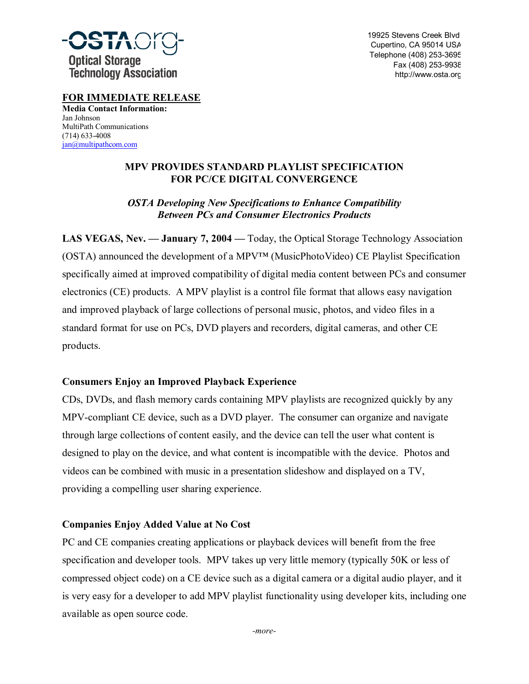

19925 Stevens Creek Blvd Cupertino, CA 95014 USA Telephone (408) 253-3695 Fax (408) 253-9938 http://www.osta.org

**FOR IMMEDIATE RELEASE Media Contact Information:** Jan Johnson MultiPath Communications (714) 633-4008

jan@multipathcom.com

## **MPV PROVIDES STANDARD PLAYLIST SPECIFICATION FOR PC/CE DIGITAL CONVERGENCE**

# *OSTA Developing New Specifications to Enhance Compatibility Between PCs and Consumer Electronics Products*

**LAS VEGAS, Nev. — January 7, 2004 —** Today, the Optical Storage Technology Association (OSTA) announced the development of a MPV<sup> $TM$ </sup> (MusicPhotoVideo) CE Playlist Specification specifically aimed at improved compatibility of digital media content between PCs and consumer electronics (CE) products. A MPV playlist is a control file format that allows easy navigation and improved playback of large collections of personal music, photos, and video files in a standard format for use on PCs, DVD players and recorders, digital cameras, and other CE products.

# **Consumers Enjoy an Improved Playback Experience**

CDs, DVDs, and flash memory cards containing MPV playlists are recognized quickly by any MPV-compliant CE device, such as a DVD player. The consumer can organize and navigate through large collections of content easily, and the device can tell the user what content is designed to play on the device, and what content is incompatible with the device. Photos and videos can be combined with music in a presentation slideshow and displayed on a TV, providing a compelling user sharing experience.

## **Companies Enjoy Added Value at No Cost**

PC and CE companies creating applications or playback devices will benefit from the free specification and developer tools. MPV takes up very little memory (typically 50K or less of compressed object code) on a CE device such as a digital camera or a digital audio player, and it is very easy for a developer to add MPV playlist functionality using developer kits, including one available as open source code.

*-more-*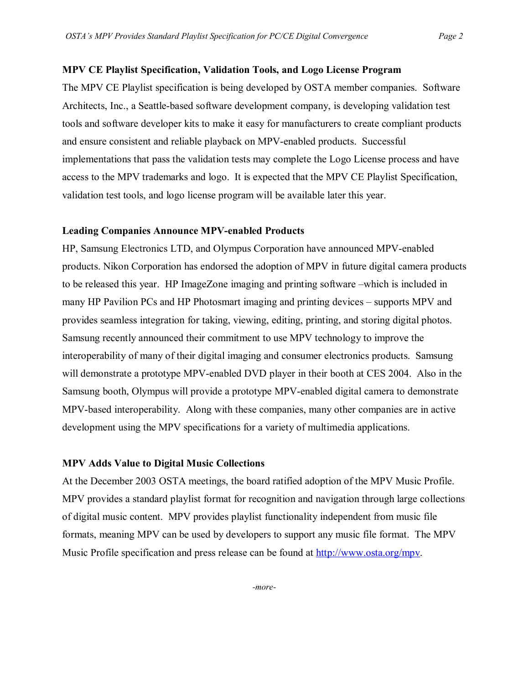#### **MPV CE Playlist Specification, Validation Tools, and Logo License Program**

The MPV CE Playlist specification is being developed by OSTA member companies. Software Architects, Inc., a Seattle-based software development company, is developing validation test tools and software developer kits to make it easy for manufacturers to create compliant products and ensure consistent and reliable playback on MPV-enabled products. Successful implementations that pass the validation tests may complete the Logo License process and have access to the MPV trademarks and logo. It is expected that the MPV CE Playlist Specification, validation test tools, and logo license program will be available later this year.

### **Leading Companies Announce MPV-enabled Products**

HP, Samsung Electronics LTD, and Olympus Corporation have announced MPV-enabled products. Nikon Corporation has endorsed the adoption of MPV in future digital camera products to be released this year. HP ImageZone imaging and printing software –which is included in many HP Pavilion PCs and HP Photosmart imaging and printing devices – supports MPV and provides seamless integration for taking, viewing, editing, printing, and storing digital photos. Samsung recently announced their commitment to use MPV technology to improve the interoperability of many of their digital imaging and consumer electronics products. Samsung will demonstrate a prototype MPV-enabled DVD player in their booth at CES 2004. Also in the Samsung booth, Olympus will provide a prototype MPV-enabled digital camera to demonstrate MPV-based interoperability. Along with these companies, many other companies are in active development using the MPV specifications for a variety of multimedia applications.

#### **MPV Adds Value to Digital Music Collections**

At the December 2003 OSTA meetings, the board ratified adoption of the MPV Music Profile. MPV provides a standard playlist format for recognition and navigation through large collections of digital music content. MPV provides playlist functionality independent from music file formats, meaning MPV can be used by developers to support any music file format. The MPV Music Profile specification and press release can be found at http://www.osta.org/mpv.

*-more-*